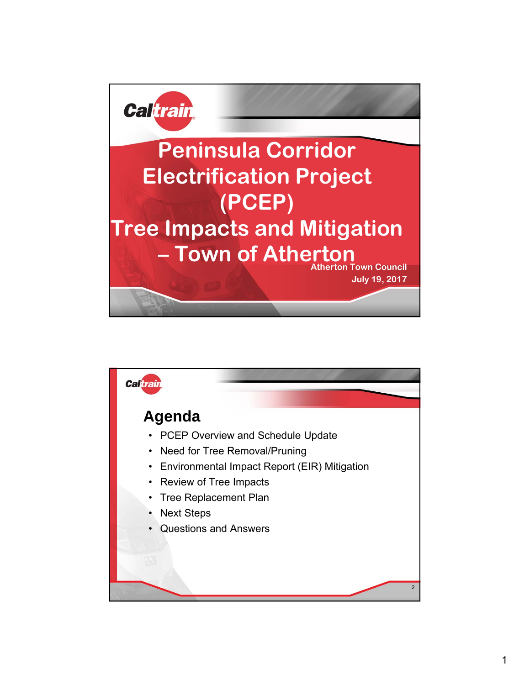

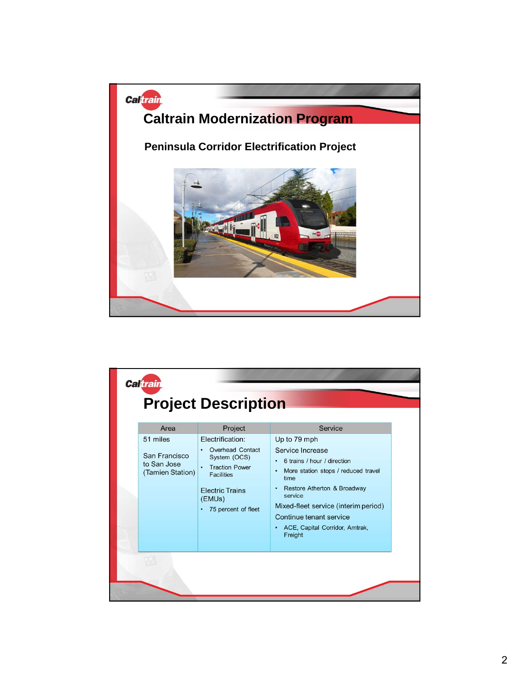

|  | Area<br>51 miles<br>San Francisco<br>to San Jose<br>(Tamien Station) | Project<br>Electrification:<br><b>Overhead Contact</b><br>System (OCS)<br><b>Traction Power</b><br>$\bullet$<br><b>Facilities</b><br><b>Electric Trains</b><br>(EMUs)<br>75 percent of fleet | Service<br>Up to 79 mph<br>Service Increase<br>6 trains / hour / direction<br>More station stops / reduced travel<br>time<br>Restore Atherton & Broadway<br>$\bullet$<br>service<br>Mixed-fleet service (interim period)<br>Continue tenant service<br>ACE, Capital Corridor, Amtrak,<br>Freight |
|--|----------------------------------------------------------------------|----------------------------------------------------------------------------------------------------------------------------------------------------------------------------------------------|--------------------------------------------------------------------------------------------------------------------------------------------------------------------------------------------------------------------------------------------------------------------------------------------------|
|--|----------------------------------------------------------------------|----------------------------------------------------------------------------------------------------------------------------------------------------------------------------------------------|--------------------------------------------------------------------------------------------------------------------------------------------------------------------------------------------------------------------------------------------------------------------------------------------------|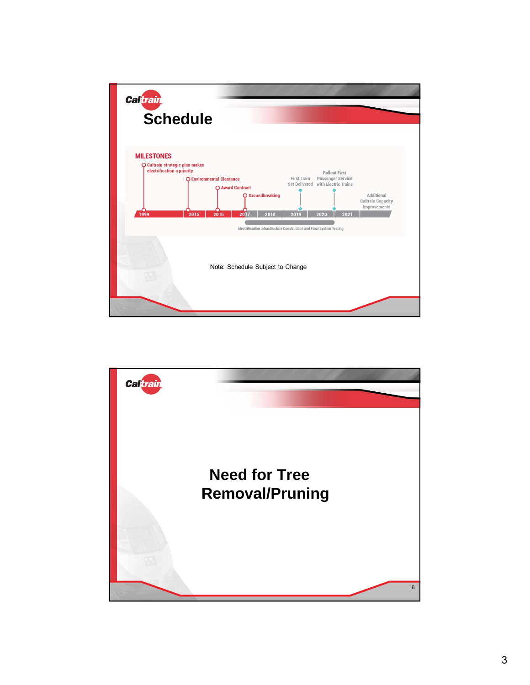

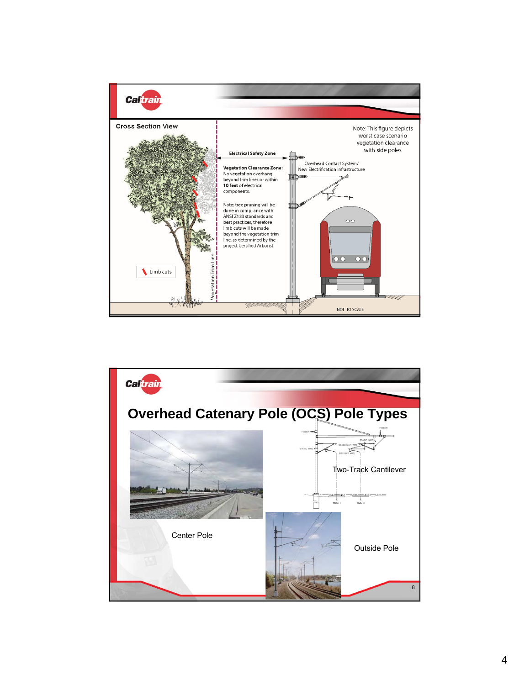

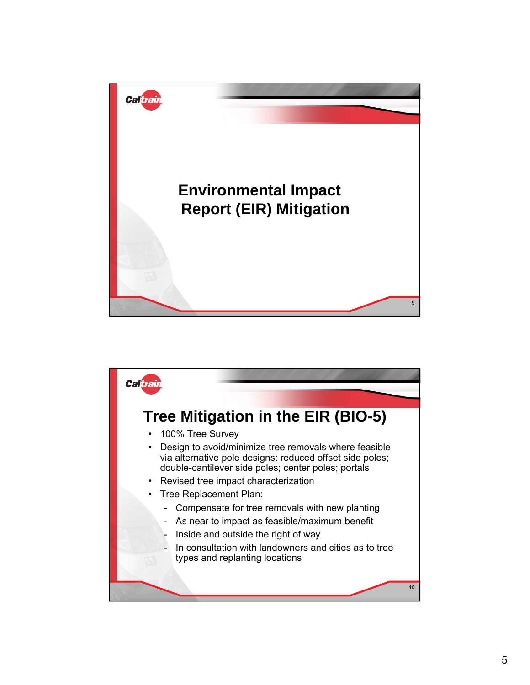

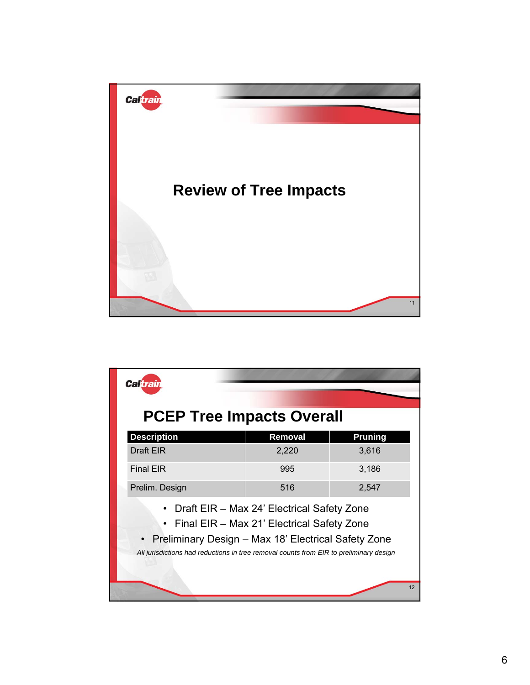

| <b>Caltrain</b>                                                                                                                                                                                                                                          |         |                |  |  |  |  |  |  |  |
|----------------------------------------------------------------------------------------------------------------------------------------------------------------------------------------------------------------------------------------------------------|---------|----------------|--|--|--|--|--|--|--|
| <b>PCEP Tree Impacts Overall</b>                                                                                                                                                                                                                         |         |                |  |  |  |  |  |  |  |
| <b>Description</b>                                                                                                                                                                                                                                       | Removal | <b>Pruning</b> |  |  |  |  |  |  |  |
| Draft EIR                                                                                                                                                                                                                                                | 2,220   | 3,616          |  |  |  |  |  |  |  |
| <b>Final EIR</b>                                                                                                                                                                                                                                         | 995     | 3,186          |  |  |  |  |  |  |  |
| Prelim. Design                                                                                                                                                                                                                                           | 516     | 2,547          |  |  |  |  |  |  |  |
| Draft EIR - Max 24' Electrical Safety Zone<br>Final EIR - Max 21' Electrical Safety Zone<br>$\bullet$<br>• Preliminary Design - Max 18' Electrical Safety Zone<br>All jurisdictions had reductions in tree removal counts from EIR to preliminary design |         |                |  |  |  |  |  |  |  |
|                                                                                                                                                                                                                                                          |         | 12             |  |  |  |  |  |  |  |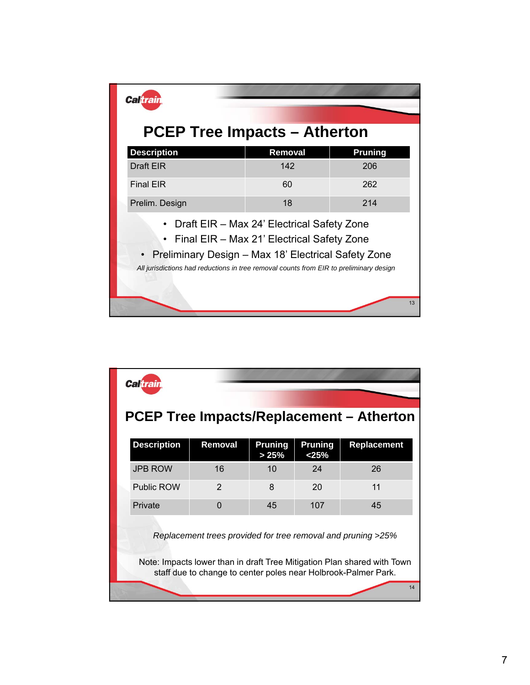| <b>Caltrain</b>                                                                                                                                                                                                                                   |         |                |  |  |  |  |  |  |
|---------------------------------------------------------------------------------------------------------------------------------------------------------------------------------------------------------------------------------------------------|---------|----------------|--|--|--|--|--|--|
| <b>PCEP Tree Impacts – Atherton</b>                                                                                                                                                                                                               |         |                |  |  |  |  |  |  |
| <b>Description</b>                                                                                                                                                                                                                                | Removal | <b>Pruning</b> |  |  |  |  |  |  |
| <b>Draft EIR</b>                                                                                                                                                                                                                                  | 142     | 206            |  |  |  |  |  |  |
| <b>Final EIR</b>                                                                                                                                                                                                                                  | 60      | 262            |  |  |  |  |  |  |
| Prelim. Design                                                                                                                                                                                                                                    | 18      | 214            |  |  |  |  |  |  |
| Draft EIR - Max 24' Electrical Safety Zone<br>Final EIR - Max 21' Electrical Safety Zone<br>• Preliminary Design - Max 18' Electrical Safety Zone<br>All jurisdictions had reductions in tree removal counts from EIR to preliminary design<br>13 |         |                |  |  |  |  |  |  |

|                                                                                                                                                                                                           | <b>Caltrain</b>    |               |                         |                  |             |  |  |  |  |  |
|-----------------------------------------------------------------------------------------------------------------------------------------------------------------------------------------------------------|--------------------|---------------|-------------------------|------------------|-------------|--|--|--|--|--|
| PCEP Tree Impacts/Replacement – Atherton                                                                                                                                                                  |                    |               |                         |                  |             |  |  |  |  |  |
|                                                                                                                                                                                                           | <b>Description</b> | Removal       | <b>Pruning</b><br>> 25% | Pruning<br>< 25% | Replacement |  |  |  |  |  |
|                                                                                                                                                                                                           | <b>JPB ROW</b>     | 16            | 10                      | 24               | 26          |  |  |  |  |  |
|                                                                                                                                                                                                           | <b>Public ROW</b>  | $\mathcal{P}$ | 8                       | 20               | 11          |  |  |  |  |  |
|                                                                                                                                                                                                           | Private            | $\Omega$      | 45                      | 107              | 45          |  |  |  |  |  |
| Replacement trees provided for tree removal and pruning >25%<br>Note: Impacts lower than in draft Tree Mitigation Plan shared with Town<br>staff due to change to center poles near Holbrook-Palmer Park. |                    |               |                         |                  |             |  |  |  |  |  |
| 14                                                                                                                                                                                                        |                    |               |                         |                  |             |  |  |  |  |  |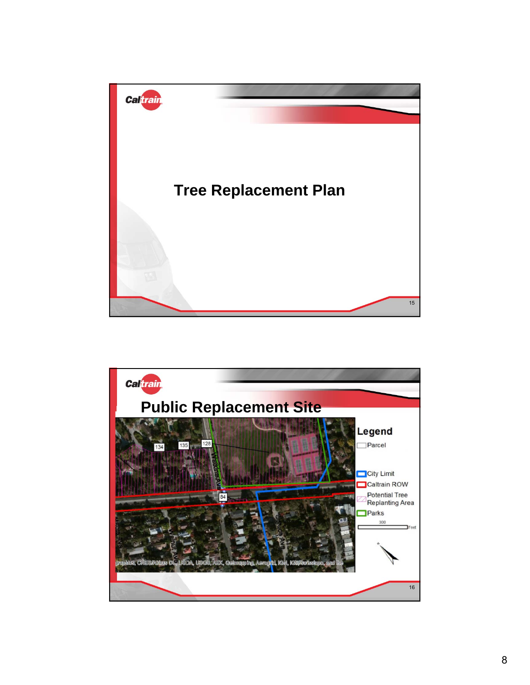

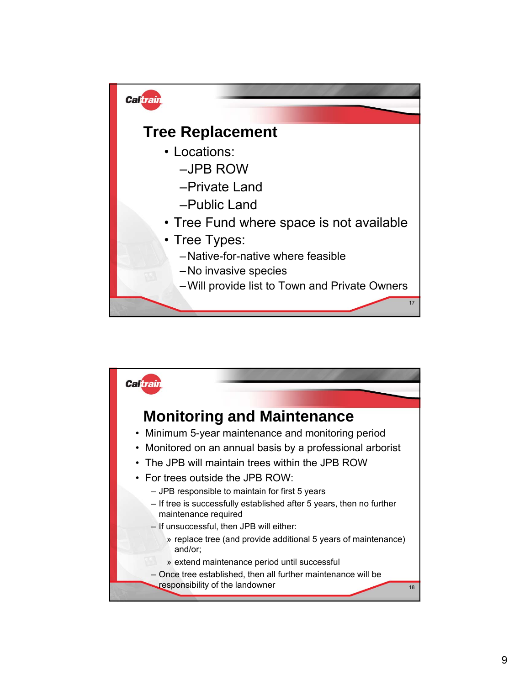

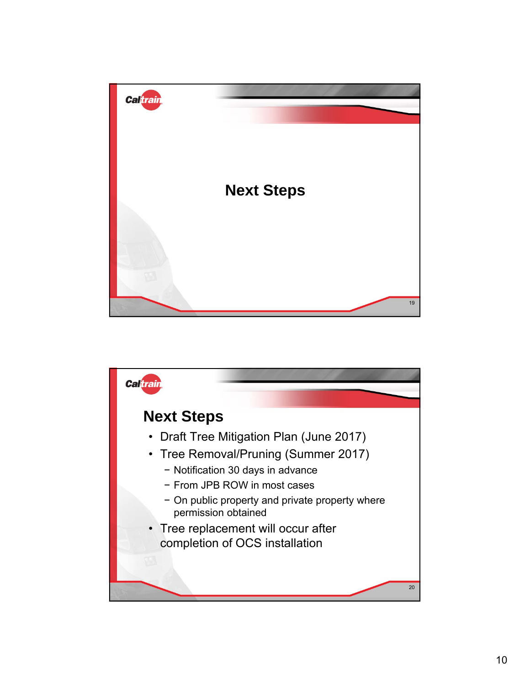